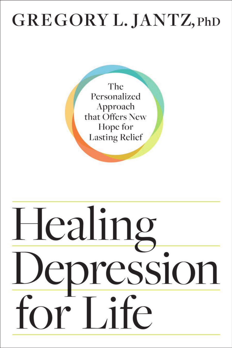## **GREGORY L. JANTZ, PhD**

The Personalized Approach that Offers New Hope for **Lasting Relief** 

# Healing oression or Life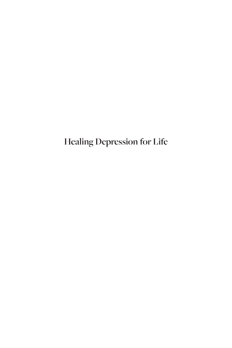**Healing Depression for Life**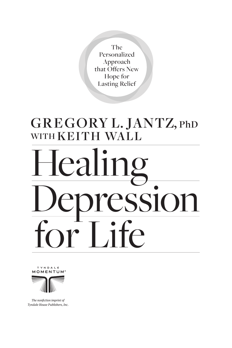The Personalized Approach that Offers New Hope for Lasting Relief

#### **GREGORY L. JANTZ, PhD WITH KEITH WALL**

## $\gamma$ r Life ression Healing

TYNDALE **MOMENTUM®** 



The nonfiction imprint of Tyndale House Publishers, Inc.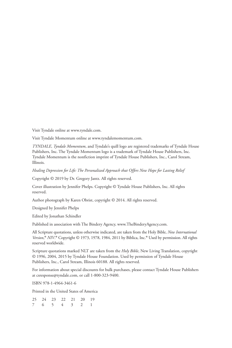Visit Tyndale online at www.tyndale.com.

Visit Tyndale Momentum online at www.tyndalemomentum.com.

*TYNDALE*, *Tyndale Momentum*, and Tyndale's quill logo are registered trademarks of Tyndale House Publishers, Inc. The Tyndale Momentum logo is a trademark of Tyndale House Publishers, Inc. Tyndale Momentum is the nonfiction imprint of Tyndale House Publishers, Inc., Carol Stream, Illinois.

*Healing Depression for Life: The Personalized Approach that Offers New Hope for Lasting Relief*

Copyright © 2019 by Dr. Gregory Jantz. All rights reserved.

Cover illustration by Jennifer Phelps. Copyright © Tyndale House Publishers, Inc. All rights reserved.

Author photograph by Karen Obrist, copyright © 2014. All rights reserved.

Designed by Jennifer Phelps

Edited by Jonathan Schindler

Published in association with The Bindery Agency, www.TheBinderyAgency.com.

All Scripture quotations, unless otherwise indicated, are taken from the Holy Bible, *New International Version*, ® *NIV*. ® Copyright © 1973, 1978, 1984, 2011 by Biblica, Inc.® Used by permission. All rights reserved worldwide.

Scripture quotations marked NLT are taken from the *Holy Bible*, New Living Translation, copyright © 1996, 2004, 2015 by Tyndale House Foundation. Used by permission of Tyndale House Publishers, Inc., Carol Stream, Illinois 60188. All rights reserved.

For information about special discounts for bulk purchases, please contact Tyndale House Publishers at csresponse@tyndale.com, or call 1-800-323-9400.

ISBN 978-1-4964-3461-6

Printed in the United States of America

25 24 23 22 21 20 19 7 6 5 4 3 2 1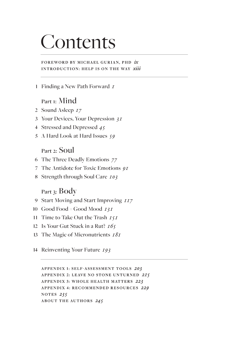### Contents

#### **[FOREWORD BY MICHAEL GURIAN, PHD](#page-7-0)** *ix* **INTRODUCTION: HELP IS ON THE WAY xiii**

**1** [Finding a New Path Forward](#page-23-0) *1*

#### **Part 1:** Mind

- **2** Sound Asleep *17*
- **3** Your Devices, Your Depression *31*
- **4** Stressed and Depressed *45*
- **5** A Hard Look at Hard Issues *59*

#### **Part 2:** Soul

- **6** The Three Deadly Emotions *77*
- **7** The Antidote for Toxic Emotions *91*
- **8** Strength through Soul Care *103*

#### **Part 3:** Body

- **9** Start Moving and Start Improving *117*
- 10 Good Food = Good Mood  $I3I$
- **11** Time to Take Out the Trash *151*
- **12** Is Your Gut Stuck in a Rut? *165*
- **13** The Magic of Micronutrients *181*
- **14** Reinventing Your Future *193*

```
 APPENDIX 1: SELF-ASSESSMENT TOOLS  203
 APPENDIX 2: LEAVE NO STONE UNTURNED  215
APPENDIX 3: WHOLE HEALTH MATTERS 223
 APPENDIX 4: RECOMMENDED RESOURCES  229
 NOTES  235
 ABOUT THE AUTHORS  245
```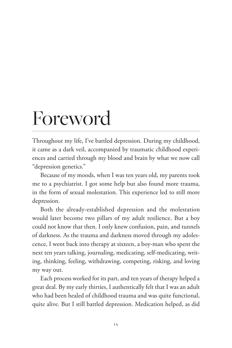## <span id="page-7-0"></span>Foreword

Throughout my life, I've battled depression. During my childhood, it came as a dark veil, accompanied by traumatic childhood experiences and carried through my blood and brain by what we now call "depression genetics."

Because of my moods, when I was ten years old, my parents took me to a psychiatrist. I got some help but also found more trauma, in the form of sexual molestation. This experience led to still more depression.

Both the already-established depression and the molestation would later become two pillars of my adult resilience. But a boy could not know that then. I only knew confusion, pain, and tunnels of darkness. As the trauma and darkness moved through my adolescence, I went back into therapy at sixteen, a boy-man who spent the next ten years talking, journaling, medicating, self-medicating, writing, thinking, feeling, withdrawing, competing, risking, and loving my way out.

Each process worked for its part, and ten years of therapy helped a great deal. By my early thirties, I authentically felt that I was an adult who had been healed of childhood trauma and was quite functional, quite alive. But I still battled depression. Medication helped, as did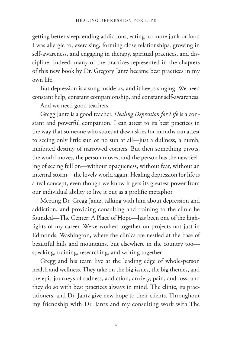getting better sleep, ending addictions, eating no more junk or food I was allergic to, exercising, forming close relationships, growing in self-awareness, and engaging in therapy, spiritual practices, and discipline. Indeed, many of the practices represented in the chapters of this new book by Dr. Gregory Jantz became best practices in my own life.

But depression is a song inside us, and it keeps singing. We need constant help, constant companionship, and constant self-awareness.

And we need good teachers.

Gregg Jantz is a good teacher. *Healing Depression for Life* is a constant and powerful companion. I can attest to its best practices in the way that someone who stares at dawn skies for months can attest to seeing only little sun or no sun at all—just a dullness, a numb, inhibited destiny of narrowed corners. But then something pivots, the world moves, the person moves, and the person has the new feeling of seeing full on—without opaqueness, without fear, without an internal storm—the lovely world again. Healing depression for life is a real concept, even though we know it gets its greatest power from our individual ability to live it out as a prolific metaphor.

Meeting Dr. Gregg Jantz, talking with him about depression and addiction, and providing consulting and training to the clinic he founded—The Center: A Place of Hope—has been one of the highlights of my career. We've worked together on projects not just in Edmonds, Washington, where the clinics are nestled at the base of beautiful hills and mountains, but elsewhere in the country too speaking, training, researching, and writing together.

Gregg and his team live at the leading edge of whole-person health and wellness. They take on the big issues, the big themes, and the epic journeys of sadness, addiction, anxiety, pain, and loss, and they do so with best practices always in mind. The clinic, its practitioners, and Dr. Jantz give new hope to their clients. Throughout my friendship with Dr. Jantz and my consulting work with The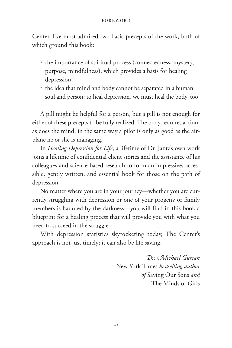#### **FOREWORD**

Center, I've most admired two basic precepts of the work, both of which ground this book:

- the importance of spiritual process (connectedness, mystery, purpose, mindfulness), which provides a basis for healing depression
- the idea that mind and body cannot be separated in a human soul and person: to heal depression, we must heal the body, too

A pill might be helpful for a person, but a pill is not enough for either of these precepts to be fully realized. The body requires action, as does the mind, in the same way a pilot is only as good as the airplane he or she is managing.

In *Healing Depression for Life*, a lifetime of Dr. Jantz's own work joins a lifetime of confidential client stories and the assistance of his colleagues and science-based research to form an impressive, accessible, gently written, and essential book for those on the path of depression.

No matter where you are in your journey—whether you are currently struggling with depression or one of your progeny or family members is haunted by the darkness—you will find in this book a blueprint for a healing process that will provide you with what you need to succeed in the struggle.

With depression statistics skyrocketing today, The Center's approach is not just timely; it can also be life saving.

> *Dr. Michael Gurian* New York Times *bestselling author of* Saving Our Sons *and*  The Minds of Girls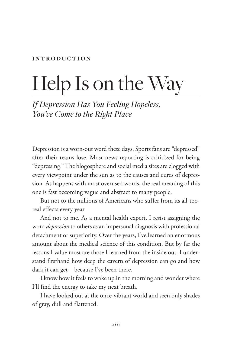#### <span id="page-11-0"></span>**INTRODUCTION**

## Help Is on the Way

*If Depression Has You Feeling Hopeless, You've Come to the Right Place*

Depression is a worn-out word these days. Sports fans are "depressed" after their teams lose. Most news reporting is criticized for being "depressing." The blogosphere and social media sites are clogged with every viewpoint under the sun as to the causes and cures of depression. As happens with most overused words, the real meaning of this one is fast becoming vague and abstract to many people.

But not to the millions of Americans who suffer from its all-tooreal effects every year.

And not to me. As a mental health expert, I resist assigning the word *depression* to others as an impersonal diagnosis with professional detachment or superiority. Over the years, I've learned an enormous amount about the medical science of this condition. But by far the lessons I value most are those I learned from the inside out. I understand firsthand how deep the cavern of depression can go and how dark it can get—because I've been there.

I know how it feels to wake up in the morning and wonder where I'll find the energy to take my next breath.

I have looked out at the once-vibrant world and seen only shades of gray, dull and flattened.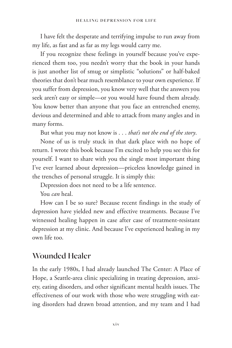I have felt the desperate and terrifying impulse to run away from my life, as fast and as far as my legs would carry me.

If you recognize these feelings in yourself because you've experienced them too, you needn't worry that the book in your hands is just another list of smug or simplistic "solutions" or half-baked theories that don't bear much resemblance to your own experience. If you suffer from depression, you know very well that the answers you seek aren't easy or simple—or you would have found them already. You know better than anyone that you face an entrenched enemy, devious and determined and able to attack from many angles and in many forms.

But what you may not know is . . . *that's not the end of the story*.

None of us is truly stuck in that dark place with no hope of return. I wrote this book because I'm excited to help you see this for yourself. I want to share with you the single most important thing I've ever learned about depression—priceless knowledge gained in the trenches of personal struggle. It is simply this:

Depression does not need to be a life sentence. You *can* heal.

How can I be so sure? Because recent findings in the study of depression have yielded new and effective treatments. Because I've witnessed healing happen in case after case of treatment-resistant depression at my clinic. And because I've experienced healing in my own life too.

#### **Wounded Healer**

In the early 1980s, I had already launched The Center: A Place of Hope, a Seattle-area clinic specializing in treating depression, anxiety, eating disorders, and other significant mental health issues. The effectiveness of our work with those who were struggling with eating disorders had drawn broad attention, and my team and I had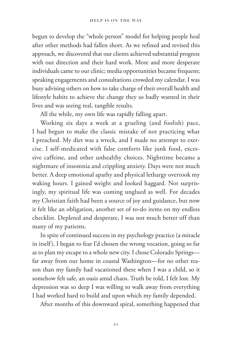begun to develop the "whole person" model for helping people heal after other methods had fallen short. As we refined and revised this approach, we discovered that our clients achieved substantial progress with our direction and their hard work. More and more desperate individuals came to our clinic; media opportunities became frequent; speaking engagements and consultations crowded my calendar. I was busy advising others on how to take charge of their overall health and lifestyle habits to achieve the change they so badly wanted in their lives and was seeing real, tangible results.

All the while, my own life was rapidly falling apart.

Working six days a week at a grueling (and foolish) pace, I had begun to make the classic mistake of not practicing what I preached. My diet was a wreck, and I made no attempt to exercise. I self-medicated with false comforts like junk food, excessive caffeine, and other unhealthy choices. Nighttime became a nightmare of insomnia and crippling anxiety. Days were not much better. A deep emotional apathy and physical lethargy overtook my waking hours. I gained weight and looked haggard. Not surprisingly, my spiritual life was coming unglued as well. For decades my Christian faith had been a source of joy and guidance, but now it felt like an obligation, another set of to-do items on my endless checklist. Depleted and desperate, I was not much better off than many of my patients.

In spite of continued success in my psychology practice (a miracle in itself), I began to fear I'd chosen the wrong vocation, going so far as to plan my escape to a whole new city. I chose Colorado Springs far away from our home in coastal Washington—for no other reason than my family had vacationed there when I was a child, so it somehow felt safe, an oasis amid chaos. Truth be told, I felt lost. My depression was so deep I was willing to walk away from everything I had worked hard to build and upon which my family depended.

After months of this downward spiral, something happened that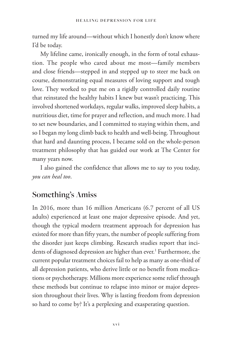turned my life around—without which I honestly don't know where I'd be today.

My lifeline came, ironically enough, in the form of total exhaustion. The people who cared about me most—family members and close friends—stepped in and stepped up to steer me back on course, demonstrating equal measures of loving support and tough love. They worked to put me on a rigidly controlled daily routine that reinstated the healthy habits I knew but wasn't practicing. This involved shortened workdays, regular walks, improved sleep habits, a nutritious diet, time for prayer and reflection, and much more. I had to set new boundaries, and I committed to staying within them, and so I began my long climb back to health and well-being. Throughout that hard and daunting process, I became sold on the whole-person treatment philosophy that has guided our work at The Center for many years now.

I also gained the confidence that allows me to say to you today, *you can heal too*.

#### **Something's Amiss**

In 2016, more than 16 million Americans (6.7 percent of all US adults) experienced at least one major depressive episode. And yet, though the typical modern treatment approach for depression has existed for more than fifty years, the number of people suffering from the disorder just keeps climbing. Research studies report that incidents of diagnosed depression are higher than ever.1 Furthermore, the current popular treatment choices fail to help as many as one-third of all depression patients, who derive little or no benefit from medications or psychotherapy. Millions more experience some relief through these methods but continue to relapse into minor or major depression throughout their lives. Why is lasting freedom from depression so hard to come by? It's a perplexing and exasperating question.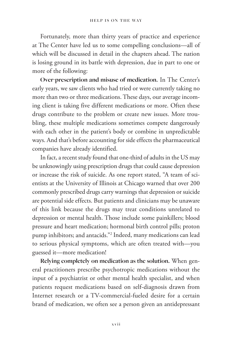Fortunately, more than thirty years of practice and experience at The Center have led us to some compelling conclusions—all of which will be discussed in detail in the chapters ahead. The nation is losing ground in its battle with depression, due in part to one or more of the following:

**Over-prescription and misuse of medication.** In The Center's early years, we saw clients who had tried or were currently taking no more than two or three medications. These days, our average incoming client is taking five different medications or more. Often these drugs contribute to the problem or create new issues. More troubling, these multiple medications sometimes compete dangerously with each other in the patient's body or combine in unpredictable ways. And that's before accounting for side effects the pharmaceutical companies have already identified.

In fact, a recent study found that one-third of adults in the US may be unknowingly using prescription drugs that could cause depression or increase the risk of suicide. As one report stated, "A team of scientists at the University of Illinois at Chicago warned that over 200 commonly prescribed drugs carry warnings that depression or suicide are potential side effects. But patients and clinicians may be unaware of this link because the drugs may treat conditions unrelated to depression or mental health. Those include some painkillers; blood pressure and heart medication; hormonal birth control pills; proton pump inhibitors; and antacids."2 Indeed, many medications can lead to serious physical symptoms, which are often treated with—you guessed it—more medication!

**Relying completely on medication as the solution.** When general practitioners prescribe psychotropic medications without the input of a psychiatrist or other mental health specialist, and when patients request medications based on self-diagnosis drawn from Internet research or a TV-commercial-fueled desire for a certain brand of medication, we often see a person given an antidepressant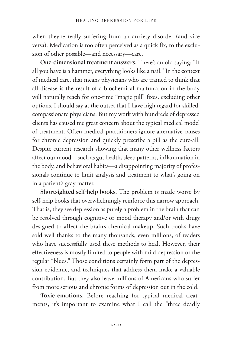when they're really suffering from an anxiety disorder (and vice versa). Medication is too often perceived as a quick fix, to the exclusion of other possible—and necessary—care.

**One-dimensional treatment answers.** There's an old saying: "If all you have is a hammer, everything looks like a nail." In the context of medical care, that means physicians who are trained to think that all disease is the result of a biochemical malfunction in the body will naturally reach for one-time "magic pill" fixes, excluding other options. I should say at the outset that I have high regard for skilled, compassionate physicians. But my work with hundreds of depressed clients has caused me great concern about the typical medical model of treatment. Often medical practitioners ignore alternative causes for chronic depression and quickly prescribe a pill as the cure-all. Despite current research showing that many other wellness factors affect our mood—such as gut health, sleep patterns, inflammation in the body, and behavioral habits—a disappointing majority of professionals continue to limit analysis and treatment to what's going on in a patient's gray matter.

**Shortsighted self-help books.** The problem is made worse by self-help books that overwhelmingly reinforce this narrow approach. That is, they see depression as purely a problem in the brain that can be resolved through cognitive or mood therapy and/or with drugs designed to affect the brain's chemical makeup. Such books have sold well thanks to the many thousands, even millions, of readers who have successfully used these methods to heal. However, their effectiveness is mostly limited to people with mild depression or the regular "blues." Those conditions certainly form part of the depression epidemic, and techniques that address them make a valuable contribution. But they also leave millions of Americans who suffer from more serious and chronic forms of depression out in the cold.

**Toxic emotions.** Before reaching for typical medical treatments, it's important to examine what I call the "three deadly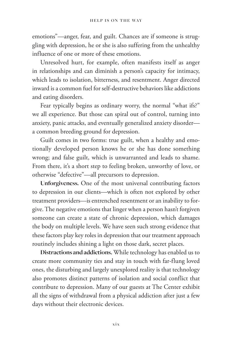emotions"—anger, fear, and guilt. Chances are if someone is struggling with depression, he or she is also suffering from the unhealthy influence of one or more of these emotions.

Unresolved hurt, for example, often manifests itself as anger in relationships and can diminish a person's capacity for intimacy, which leads to isolation, bitterness, and resentment. Anger directed inward is a common fuel for self-destructive behaviors like addictions and eating disorders.

Fear typically begins as ordinary worry, the normal "what ifs?" we all experience. But those can spiral out of control, turning into anxiety, panic attacks, and eventually generalized anxiety disorder a common breeding ground for depression.

Guilt comes in two forms: true guilt, when a healthy and emotionally developed person knows he or she has done something wrong; and false guilt, which is unwarranted and leads to shame. From there, it's a short step to feeling broken, unworthy of love, or otherwise "defective"—all precursors to depression.

**Unforgiveness.** One of the most universal contributing factors to depression in our clients—which is often not explored by other treatment providers—is entrenched resentment or an inability to forgive. The negative emotions that linger when a person hasn't forgiven someone can create a state of chronic depression, which damages the body on multiple levels. We have seen such strong evidence that these factors play key roles in depression that our treatment approach routinely includes shining a light on those dark, secret places.

**Distractions and addictions.** While technology has enabled us to create more community ties and stay in touch with far-flung loved ones, the disturbing and largely unexplored reality is that technology also promotes distinct patterns of isolation and social conflict that contribute to depression. Many of our guests at The Center exhibit all the signs of withdrawal from a physical addiction after just a few days without their electronic devices.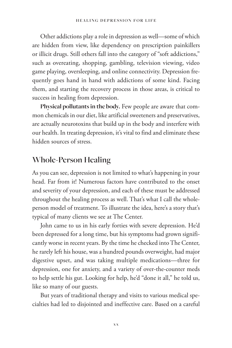Other addictions play a role in depression as well—some of which are hidden from view, like dependency on prescription painkillers or illicit drugs. Still others fall into the category of "soft addictions," such as overeating, shopping, gambling, television viewing, video game playing, oversleeping, and online connectivity. Depression frequently goes hand in hand with addictions of some kind. Facing them, and starting the recovery process in those areas, is critical to success in healing from depression.

**Physical pollutants in the body.** Few people are aware that common chemicals in our diet, like artificial sweeteners and preservatives, are actually neurotoxins that build up in the body and interfere with our health. In treating depression, it's vital to find and eliminate these hidden sources of stress.

#### **Whole-Person Healing**

As you can see, depression is not limited to what's happening in your head. Far from it! Numerous factors have contributed to the onset and severity of your depression, and each of these must be addressed throughout the healing process as well. That's what I call the wholeperson model of treatment. To illustrate the idea, here's a story that's typical of many clients we see at The Center.

John came to us in his early forties with severe depression. He'd been depressed for a long time, but his symptoms had grown significantly worse in recent years. By the time he checked into The Center, he rarely left his house, was a hundred pounds overweight, had major digestive upset, and was taking multiple medications—three for depression, one for anxiety, and a variety of over-the-counter meds to help settle his gut. Looking for help, he'd "done it all," he told us, like so many of our guests.

But years of traditional therapy and visits to various medical specialties had led to disjointed and ineffective care. Based on a careful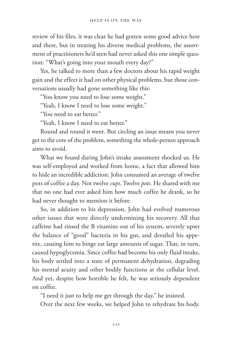review of his files, it was clear he had gotten some good advice here and there, but in treating his diverse medical problems, the assortment of practitioners he'd seen had never asked this one simple question: "What's going into your mouth every day?"

Yes, he talked to more than a few doctors about his rapid weight gain and the effect it had on other physical problems, but those conversations usually had gone something like this:

"You know you need to lose some weight."

"Yeah, I know I need to lose some weight."

"You need to eat better."

"Yeah, I know I need to eat better."

Round and round it went. But circling an issue means you never get to the core of the problem, something the whole-person approach aims to avoid.

What we found during John's intake assessment shocked us. He was self-employed and worked from home, a fact that allowed him to hide an incredible addiction: John consumed an average of twelve pots of coffee a day. Not twelve *cups*. Twelve *pots*. He shared with me that no one had ever asked him how much coffee he drank, so he had never thought to mention it before.

So, in addition to his depression, John had evolved numerous other issues that were directly undermining his recovery. All that caffeine had rinsed the B vitamins out of his system, severely upset the balance of "good" bacteria in his gut, and derailed his appetite, causing him to binge eat large amounts of sugar. That, in turn, caused hypoglycemia. Since coffee had become his only fluid intake, his body settled into a state of permanent dehydration, degrading his mental acuity and other bodily functions at the cellular level. And yet, despite how horrible he felt, he was seriously dependent on coffee.

"I need it just to help me get through the day," he insisted.

Over the next few weeks, we helped John to rehydrate his body.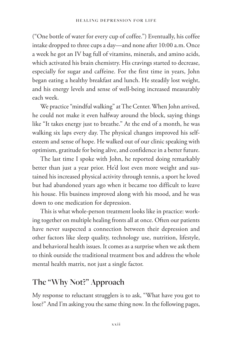("One bottle of water for every cup of coffee.") Eventually, his coffee intake dropped to three cups a day—and none after 10:00 a.m. Once a week he got an IV bag full of vitamins, minerals, and amino acids, which activated his brain chemistry. His cravings started to decrease, especially for sugar and caffeine. For the first time in years, John began eating a healthy breakfast and lunch. He steadily lost weight, and his energy levels and sense of well-being increased measurably each week.

We practice "mindful walking" at The Center. When John arrived, he could not make it even halfway around the block, saying things like "It takes energy just to breathe." At the end of a month, he was walking six laps every day. The physical changes improved his selfesteem and sense of hope. He walked out of our clinic speaking with optimism, gratitude for being alive, and confidence in a better future.

The last time I spoke with John, he reported doing remarkably better than just a year prior. He'd lost even more weight and sustained his increased physical activity through tennis, a sport he loved but had abandoned years ago when it became too difficult to leave his house. His business improved along with his mood, and he was down to one medication for depression.

This is what whole-person treatment looks like in practice: working together on multiple healing fronts all at once. Often our patients have never suspected a connection between their depression and other factors like sleep quality, technology use, nutrition, lifestyle, and behavioral health issues. It comes as a surprise when we ask them to think outside the traditional treatment box and address the whole mental health matrix, not just a single factor.

#### **The "Why Not?" Approach**

My response to reluctant strugglers is to ask, "What have you got to lose?" And I'm asking you the same thing now. In the following pages,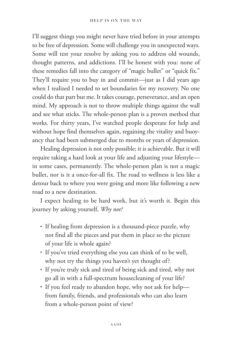I'll suggest things you might never have tried before in your attempts to be free of depression. Some will challenge you in unexpected ways. Some will test your resolve by asking you to address old wounds, thought patterns, and addictions. I'll be honest with you: none of these remedies fall into the category of "magic bullet" or "quick fix." They'll require you to buy in and commit—just as I did years ago when I realized I needed to set boundaries for my recovery. No one could do that part but me. It takes courage, perseverance, and an open mind. My approach is not to throw multiple things against the wall and see what sticks. The whole-person plan is a proven method that works. For thirty years, I've watched people desperate for help and without hope find themselves again, regaining the vitality and buoyancy that had been submerged due to months or years of depression.

Healing depression is not only possible; it is achievable. But it will require taking a hard look at your life and adjusting your lifestyle in some cases, permanently. The whole-person plan is not a magic bullet, nor is it a once-for-all fix. The road to wellness is less like a detour back to where you were going and more like following a new road to a new destination.

I expect healing to be hard work, but it's worth it. Begin this journey by asking yourself, *Why not?*

- If healing from depression is a thousand-piece puzzle, why not find all the pieces and put them in place so the picture of your life is whole again?
- If you've tried everything else you can think of to be well, why not try the things you haven't yet thought of?
- If you're truly sick and tired of being sick and tired, why not go all in with a full-spectrum housecleaning of your life?
- If you feel ready to abandon hope, why not ask for help from family, friends, and professionals who can also learn from a whole-person point of view?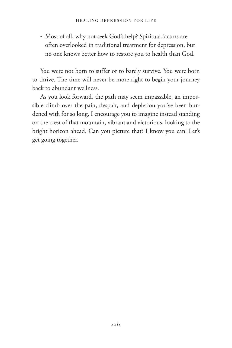• Most of all, why not seek God's help? Spiritual factors are often overlooked in traditional treatment for depression, but no one knows better how to restore you to health than God.

You were not born to suffer or to barely survive. You were born to thrive. The time will never be more right to begin your journey back to abundant wellness.

As you look forward, the path may seem impassable, an impossible climb over the pain, despair, and depletion you've been burdened with for so long. I encourage you to imagine instead standing on the crest of that mountain, vibrant and victorious, looking to the bright horizon ahead. Can you picture that? I know you can! Let's get going together.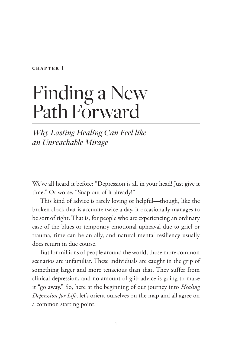#### <span id="page-23-0"></span>**Chapter 1**

## Finding a New Path Forward

*Why Lasting Healing Can Feel like an Unreachable Mirage*

We've all heard it before: "Depression is all in your head! Just give it time." Or worse, "Snap out of it already!"

This kind of advice is rarely loving or helpful—though, like the broken clock that is accurate twice a day, it occasionally manages to be sort of right. That is, for people who are experiencing an ordinary case of the blues or temporary emotional upheaval due to grief or trauma, time can be an ally, and natural mental resiliency usually does return in due course.

But for millions of people around the world, those more common scenarios are unfamiliar. These individuals are caught in the grip of something larger and more tenacious than that. They suffer from clinical depression, and no amount of glib advice is going to make it "go away." So, here at the beginning of our journey into *Healing Depression for Life*, let's orient ourselves on the map and all agree on a common starting point: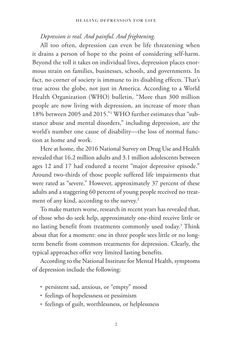#### *Depression is real. And painful. And frightening.*

All too often, depression can even be life threatening when it drains a person of hope to the point of considering self-harm. Beyond the toll it takes on individual lives, depression places enormous strain on families, businesses, schools, and governments. In fact, no corner of society is immune to its disabling effects. That's true across the globe, not just in America. According to a World Health Organization (WHO) bulletin, "More than 300 million people are now living with depression, an increase of more than 18% between 2005 and 2015."1 WHO further estimates that "substance abuse and mental disorders," including depression, are the world's number one cause of disability—the loss of normal function at home and work.

Here at home, the 2016 National Survey on Drug Use and Health revealed that 16.2 million adults and 3.1 million adolescents between ages 12 and 17 had endured a recent "major depressive episode." Around two-thirds of those people suffered life impairments that were rated as "severe." However, approximately 37 percent of these adults and a staggering 60 percent of young people received no treatment of any kind, according to the survey.<sup>2</sup>

To make matters worse, research in recent years has revealed that, of those who do seek help, approximately one-third receive little or no lasting benefit from treatments commonly used today.3 Think about that for a moment: one in three people sees little or no longterm benefit from common treatments for depression. Clearly, the typical approaches offer very limited lasting benefits.

According to the National Institute for Mental Health, symptoms of depression include the following:

- persistent sad, anxious, or "empty" mood
- feelings of hopelessness or pessimism
- feelings of guilt, worthlessness, or helplessness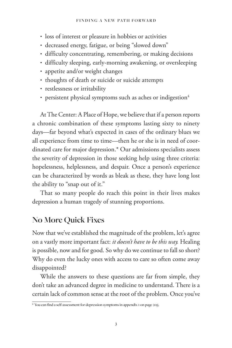- loss of interest or pleasure in hobbies or activities
- decreased energy, fatigue, or being "slowed down"
- difficulty concentrating, remembering, or making decisions
- difficulty sleeping, early-morning awakening, or oversleeping
- appetite and/or weight changes
- thoughts of death or suicide or suicide attempts
- restlessness or irritability
- persistent physical symptoms such as aches or indigestion<sup>4</sup>

At The Center: A Place of Hope, we believe that if a person reports a chronic combination of these symptoms lasting sixty to ninety days—far beyond what's expected in cases of the ordinary blues we all experience from time to time—then he or she is in need of coordinated care for major depression.\* Our admissions specialists assess the severity of depression in those seeking help using three criteria: hopelessness, helplessness, and despair. Once a person's experience can be characterized by words as bleak as these, they have long lost the ability to "snap out of it."

That so many people do reach this point in their lives makes depression a human tragedy of stunning proportions.

#### **No More Quick Fixes**

Now that we've established the magnitude of the problem, let's agree on a vastly more important fact: *it doesn't have to be this way.* Healing is possible, now and for good. So why do we continue to fall so short? Why do even the lucky ones with access to care so often come away disappointed?

While the answers to these questions are far from simple, they don't take an advanced degree in medicine to understand. There is a certain lack of common sense at the root of the problem. Once you've

<sup>\*</sup> You can find a self-assessment for depression symptoms in appendix 1 on page 205.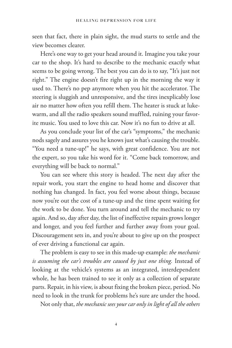seen that fact, there in plain sight, the mud starts to settle and the view becomes clearer.

Here's one way to get your head around it. Imagine you take your car to the shop. It's hard to describe to the mechanic exactly what seems to be going wrong. The best you can do is to say, "It's just not right." The engine doesn't fire right up in the morning the way it used to. There's no pep anymore when you hit the accelerator. The steering is sluggish and unresponsive, and the tires inexplicably lose air no matter how often you refill them. The heater is stuck at lukewarm, and all the radio speakers sound muffled, ruining your favorite music. You used to love this car. Now it's no fun to drive at all.

As you conclude your list of the car's "symptoms," the mechanic nods sagely and assures you he knows just what's causing the trouble. "You need a tune-up!" he says, with great confidence. You are not the expert, so you take his word for it. "Come back tomorrow, and everything will be back to normal."

You can see where this story is headed. The next day after the repair work, you start the engine to head home and discover that nothing has changed. In fact, you feel worse about things, because now you're out the cost of a tune-up and the time spent waiting for the work to be done. You turn around and tell the mechanic to try again. And so, day after day, the list of ineffective repairs grows longer and longer, and you feel further and further away from your goal. Discouragement sets in, and you're about to give up on the prospect of ever driving a functional car again.

The problem is easy to see in this made-up example: *the mechanic is assuming the car's troubles are caused by just one thing.* Instead of looking at the vehicle's systems as an integrated, interdependent whole, he has been trained to see it only as a collection of separate parts. Repair, in his view, is about fixing the broken piece, period. No need to look in the trunk for problems he's sure are under the hood.

Not only that, *the mechanic sees your car only in light of all the others*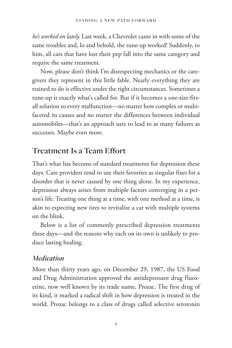*he's worked on lately.* Last week, a Chevrolet came in with some of the same troubles and, lo and behold, the tune-up worked! Suddenly, to him, all cars that have lost their pep fall into the same category and require the same treatment.

Now, please don't think I'm disrespecting mechanics or the caregivers they represent in this little fable. Nearly everything they are trained to do is effective under the right circumstances. Sometimes a tune-up is exactly what's called for. But if it becomes a one-size-fitsall solution to every malfunction—no matter how complex or multifaceted its causes and no matter the differences between individual automobiles—that's an approach sure to lead to as many failures as successes. Maybe even more.

#### **Treatment Is a Team Effort**

That's what has become of standard treatments for depression these days. Care providers tend to use their favorites as singular fixes for a disorder that is never caused by one thing alone. In my experience, depression always arises from multiple factors converging in a person's life. Treating one thing at a time, with one method at a time, is akin to expecting new tires to revitalize a car with multiple systems on the blink.

Below is a list of commonly prescribed depression treatments these days—and the reasons why each on its own is unlikely to produce lasting healing.

#### *Medication*

More than thirty years ago, on December 29, 1987, the US Food and Drug Administration approved the antidepressant drug fluoxetine, now well known by its trade name, Prozac. The first drug of its kind, it marked a radical shift in how depression is treated in the world. Prozac belongs to a class of drugs called selective serotonin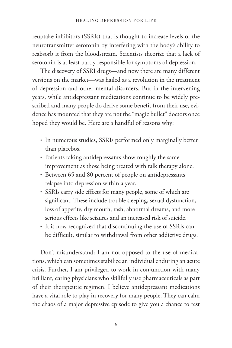reuptake inhibitors (SSRIs) that is thought to increase levels of the neurotransmitter serotonin by interfering with the body's ability to reabsorb it from the bloodstream. Scientists theorize that a lack of serotonin is at least partly responsible for symptoms of depression.

The discovery of SSRI drugs—and now there are many different versions on the market—was hailed as a revolution in the treatment of depression and other mental disorders. But in the intervening years, while antidepressant medications continue to be widely prescribed and many people do derive some benefit from their use, evidence has mounted that they are not the "magic bullet" doctors once hoped they would be. Here are a handful of reasons why:

- In numerous studies, SSRIs performed only marginally better than placebos.
- Patients taking antidepressants show roughly the same improvement as those being treated with talk therapy alone.
- Between 65 and 80 percent of people on antidepressants relapse into depression within a year.
- SSRIs carry side effects for many people, some of which are significant. These include trouble sleeping, sexual dysfunction, loss of appetite, dry mouth, rash, abnormal dreams, and more serious effects like seizures and an increased risk of suicide.
- It is now recognized that discontinuing the use of SSRIs can be difficult, similar to withdrawal from other addictive drugs.

Don't misunderstand: I am not opposed to the use of medications, which can sometimes stabilize an individual enduring an acute crisis. Further, I am privileged to work in conjunction with many brilliant, caring physicians who skillfully use pharmaceuticals as part of their therapeutic regimen. I believe antidepressant medications have a vital role to play in recovery for many people. They can calm the chaos of a major depressive episode to give you a chance to rest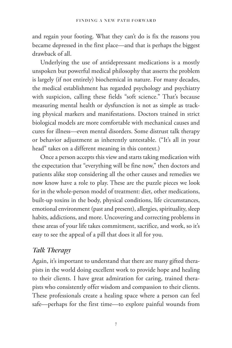and regain your footing. What they can't do is fix the reasons you became depressed in the first place—and that is perhaps the biggest drawback of all.

Underlying the use of antidepressant medications is a mostly unspoken but powerful medical philosophy that asserts the problem is largely (if not entirely) biochemical in nature. For many decades, the medical establishment has regarded psychology and psychiatry with suspicion, calling these fields "soft science." That's because measuring mental health or dysfunction is not as simple as tracking physical markers and manifestations. Doctors trained in strict biological models are more comfortable with mechanical causes and cures for illness—even mental disorders. Some distrust talk therapy or behavior adjustment as inherently untestable. ("It's all in your head" takes on a different meaning in this context.)

Once a person accepts this view and starts taking medication with the expectation that "everything will be fine now," then doctors and patients alike stop considering all the other causes and remedies we now know have a role to play. These are the puzzle pieces we look for in the whole-person model of treatment: diet, other medications, built-up toxins in the body, physical conditions, life circumstances, emotional environment (past and present), allergies, spirituality, sleep habits, addictions, and more. Uncovering and correcting problems in these areas of your life takes commitment, sacrifice, and work, so it's easy to see the appeal of a pill that does it all for you.

#### *Talk Therapy*

Again, it's important to understand that there are many gifted therapists in the world doing excellent work to provide hope and healing to their clients. I have great admiration for caring, trained therapists who consistently offer wisdom and compassion to their clients. These professionals create a healing space where a person can feel safe—perhaps for the first time—to explore painful wounds from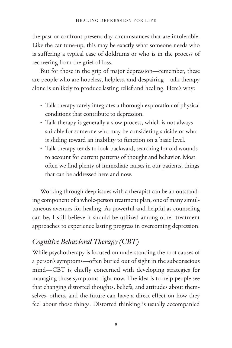the past or confront present-day circumstances that are intolerable. Like the car tune-up, this may be exactly what someone needs who is suffering a typical case of doldrums or who is in the process of recovering from the grief of loss.

But for those in the grip of major depression—remember, these are people who are hopeless, helpless, and despairing—talk therapy alone is unlikely to produce lasting relief and healing. Here's why:

- Talk therapy rarely integrates a thorough exploration of physical conditions that contribute to depression.
- Talk therapy is generally a slow process, which is not always suitable for someone who may be considering suicide or who is sliding toward an inability to function on a basic level.
- Talk therapy tends to look backward, searching for old wounds to account for current patterns of thought and behavior. Most often we find plenty of immediate causes in our patients, things that can be addressed here and now.

Working through deep issues with a therapist can be an outstanding component of a whole-person treatment plan, one of many simultaneous avenues for healing. As powerful and helpful as counseling can be, I still believe it should be utilized among other treatment approaches to experience lasting progress in overcoming depression.

#### *Cognitive Behavioral Therapy (CBT)*

While psychotherapy is focused on understanding the root causes of a person's symptoms—often buried out of sight in the subconscious mind—CBT is chiefly concerned with developing strategies for managing those symptoms right now. The idea is to help people see that changing distorted thoughts, beliefs, and attitudes about themselves, others, and the future can have a direct effect on how they feel about those things. Distorted thinking is usually accompanied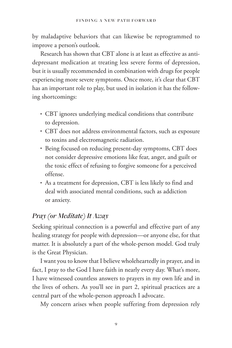by maladaptive behaviors that can likewise be reprogrammed to improve a person's outlook.

Research has shown that CBT alone is at least as effective as antidepressant medication at treating less severe forms of depression, but it is usually recommended in combination with drugs for people experiencing more severe symptoms. Once more, it's clear that CBT has an important role to play, but used in isolation it has the following shortcomings:

- CBT ignores underlying medical conditions that contribute to depression.
- CBT does not address environmental factors, such as exposure to toxins and electromagnetic radiation.
- Being focused on reducing present-day symptoms, CBT does not consider depressive emotions like fear, anger, and guilt or the toxic effect of refusing to forgive someone for a perceived offense.
- As a treatment for depression, CBT is less likely to find and deal with associated mental conditions, such as addiction or anxiety.

#### *Pray (or Meditate) It Away*

Seeking spiritual connection is a powerful and effective part of any healing strategy for people with depression—or anyone else, for that matter. It is absolutely a part of the whole-person model. God truly is the Great Physician.

I want you to know that I believe wholeheartedly in prayer, and in fact, I pray to the God I have faith in nearly every day. What's more, I have witnessed countless answers to prayers in my own life and in the lives of others. As you'll see in part 2, spiritual practices are a central part of the whole-person approach I advocate.

My concern arises when people suffering from depression rely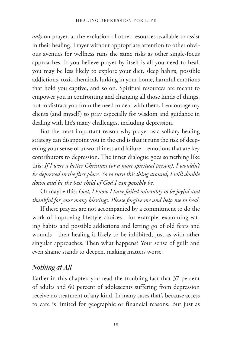*only* on prayer, at the exclusion of other resources available to assist in their healing. Prayer without appropriate attention to other obvious avenues for wellness runs the same risks as other single-focus approaches. If you believe prayer by itself is all you need to heal, you may be less likely to explore your diet, sleep habits, possible addictions, toxic chemicals lurking in your home, harmful emotions that hold you captive, and so on. Spiritual resources are meant to empower you in confronting and changing all those kinds of things, not to distract you from the need to deal with them. I encourage my clients (and myself) to pray especially for wisdom and guidance in dealing with life's many challenges, including depression.

But the most important reason why prayer as a solitary healing strategy can disappoint you in the end is that it runs the risk of deepening your sense of unworthiness and failure—emotions that are key contributors to depression. The inner dialogue goes something like this: *If I were a better Christian (or a more spiritual person), I wouldn't be depressed in the first place. So to turn this thing around, I will double down and be the best child of God I can possibly be.*

Or maybe this: *God, I know I have failed miserably to be joyful and thankful for your many blessings. Please forgive me and help me to heal.*

If these prayers are not accompanied by a commitment to do the work of improving lifestyle choices—for example, examining eating habits and possible addictions and letting go of old fears and wounds—then healing is likely to be inhibited, just as with other singular approaches. Then what happens? Your sense of guilt and even shame stands to deepen, making matters worse.

#### *Nothing at All*

Earlier in this chapter, you read the troubling fact that 37 percent of adults and 60 percent of adolescents suffering from depression receive no treatment of any kind. In many cases that's because access to care is limited for geographic or financial reasons. But just as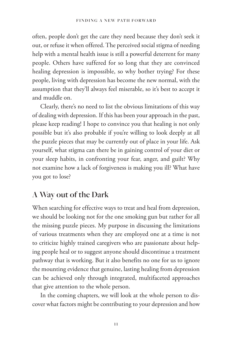often, people don't get the care they need because they don't seek it out, or refuse it when offered. The perceived social stigma of needing help with a mental health issue is still a powerful deterrent for many people. Others have suffered for so long that they are convinced healing depression is impossible, so why bother trying? For these people, living with depression has become the new normal, with the assumption that they'll always feel miserable, so it's best to accept it and muddle on.

Clearly, there's no need to list the obvious limitations of this way of dealing with depression. If this has been your approach in the past, please keep reading! I hope to convince you that healing is not only possible but it's also probable if you're willing to look deeply at all the puzzle pieces that may be currently out of place in your life. Ask yourself, what stigma can there be in gaining control of your diet or your sleep habits, in confronting your fear, anger, and guilt? Why not examine how a lack of forgiveness is making you ill? What have you got to lose?

#### **A Way out of the Dark**

When searching for effective ways to treat and heal from depression, we should be looking not for the one smoking gun but rather for all the missing puzzle pieces. My purpose in discussing the limitations of various treatments when they are employed one at a time is not to criticize highly trained caregivers who are passionate about helping people heal or to suggest anyone should discontinue a treatment pathway that is working. But it also benefits no one for us to ignore the mounting evidence that genuine, lasting healing from depression can be achieved only through integrated, multifaceted approaches that give attention to the whole person.

In the coming chapters, we will look at the whole person to discover what factors might be contributing to your depression and how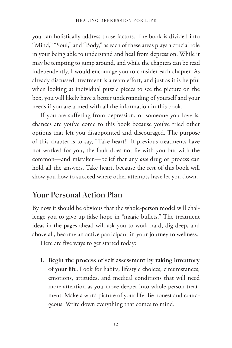you can holistically address those factors. The book is divided into "Mind," "Soul," and "Body," as each of these areas plays a crucial role in your being able to understand and heal from depression. While it may be tempting to jump around, and while the chapters can be read independently, I would encourage you to consider each chapter. As already discussed, treatment is a team effort, and just as it is helpful when looking at individual puzzle pieces to see the picture on the box, you will likely have a better understanding of yourself and your needs if you are armed with all the information in this book.

If you are suffering from depression, or someone you love is, chances are you've come to this book because you've tried other options that left you disappointed and discouraged. The purpose of this chapter is to say, "Take heart!" If previous treatments have not worked for you, the fault does not lie with you but with the common—and mistaken—belief that any *one* drug or process can hold all the answers. Take heart, because the rest of this book will show you how to succeed where other attempts have let you down.

#### **Your Personal Action Plan**

By now it should be obvious that the whole-person model will challenge you to give up false hope in "magic bullets." The treatment ideas in the pages ahead will ask you to work hard, dig deep, and above all, become an active participant in your journey to wellness.

Here are five ways to get started today:

**1. Begin the process of self-assessment by taking inventory of your life.** Look for habits, lifestyle choices, circumstances, emotions, attitudes, and medical conditions that will need more attention as you move deeper into whole-person treatment. Make a word picture of your life. Be honest and courageous. Write down everything that comes to mind.